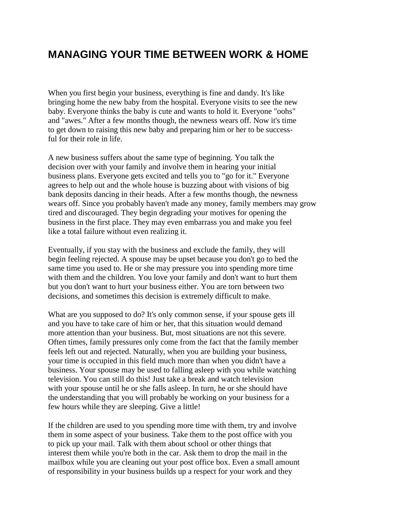## **MANAGING YOUR TIME BETWEEN WORK & HOME**

When you first begin your business, everything is fine and dandy. It's like bringing home the new baby from the hospital. Everyone visits to see the new baby. Everyone thinks the baby is cute and wants to hold it. Everyone "oohs" and "awes." After a few months though, the newness wears off. Now it's time to get down to raising this new baby and preparing him or her to be successful for their role in life.

A new business suffers about the same type of beginning. You talk the decision over with your family and involve them in hearing your initial business plans. Everyone gets excited and tells you to "go for it." Everyone agrees to help out and the whole house is buzzing about with visions of big bank deposits dancing in their heads. After a few months though, the newness wears off. Since you probably haven't made any money, family members may grow tired and discouraged. They begin degrading your motives for opening the business in the first place. They may even embarrass you and make you feel like a total failure without even realizing it.

Eventually, if you stay with the business and exclude the family, they will begin feeling rejected. A spouse may be upset because you don't go to bed the same time you used to. He or she may pressure you into spending more time with them and the children. You love your family and don't want to hurt them but you don't want to hurt your business either. You are torn between two decisions, and sometimes this decision is extremely difficult to make.

What are you supposed to do? It's only common sense, if your spouse gets ill and you have to take care of him or her, that this situation would demand more attention than your business. But, most situations are not this severe. Often times, family pressures only come from the fact that the family member feels left out and rejected. Naturally, when you are building your business, your time is occupied in this field much more than when you didn't have a business. Your spouse may be used to falling asleep with you while watching television. You can still do this! Just take a break and watch television with your spouse until he or she falls asleep. In turn, he or she should have the understanding that you will probably be working on your business for a few hours while they are sleeping. Give a little!

If the children are used to you spending more time with them, try and involve them in some aspect of your business. Take them to the post office with you to pick up your mail. Talk with them about school or other things that interest them while you're both in the car. Ask them to drop the mail in the mailbox while you are cleaning out your post office box. Even a small amount of responsibility in your business builds up a respect for your work and they